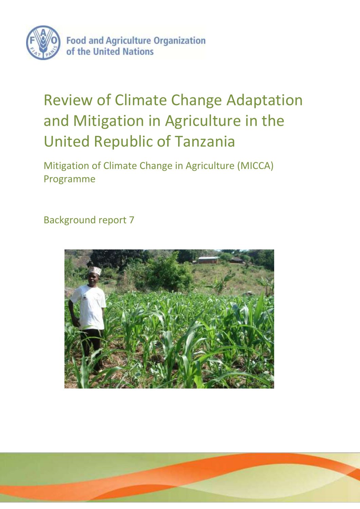

# Review of Climate Change Adaptation and Mitigation in Agriculture in the United Republic of Tanzania

Mitigation of Climate Change in Agriculture (MICCA) Programme

Background report 7

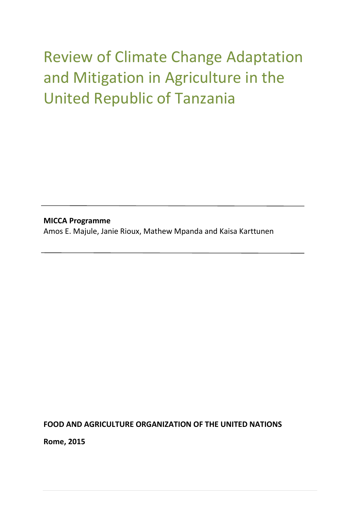# Review of Climate Change Adaptation and Mitigation in Agriculture in the United Republic of Tanzania

**MICCA Programme** Amos E. Majule, Janie Rioux, Mathew Mpanda and Kaisa Karttunen

**FOOD AND AGRICULTURE ORGANIZATION OF THE UNITED NATIONS**

**Rome, 2015**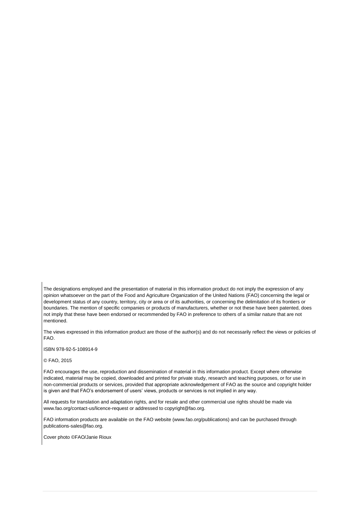The designations employed and the presentation of material in this information product do not imply the expression of any opinion whatsoever on the part of the Food and Agriculture Organization of the United Nations (FAO) concerning the legal or development status of any country, territory, city or area or of its authorities, or concerning the delimitation of its frontiers or boundaries. The mention of specific companies or products of manufacturers, whether or not these have been patented, does not imply that these have been endorsed or recommended by FAO in preference to others of a similar nature that are not mentioned.

The views expressed in this information product are those of the author(s) and do not necessarily reflect the views or policies of FAO.

ISBN 978-92-5-108914-9

© FAO, 2015

FAO encourages the use, reproduction and dissemination of material in this information product. Except where otherwise indicated, material may be copied, downloaded and printed for private study, research and teaching purposes, or for use in non-commercial products or services, provided that appropriate acknowledgement of FAO as the source and copyright holder is given and that FAO's endorsement of users' views, products or services is not implied in any way.

All requests for translation and adaptation rights, and for resale and other commercial use rights should be made via www.fao.org/contact-us/licence-request or addressed to copyright@fao.org.

FAO information products are available on the FAO website (www.fao.org/publications) and can be purchased through publications-sales@fao.org.

Cover photo ©FAO/Janie Rioux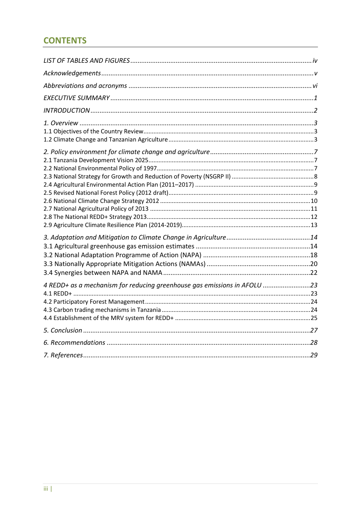# **CONTENTS**

| 4 REDD+ as a mechanism for reducing greenhouse gas emissions in AFOLU 23 |  |
|--------------------------------------------------------------------------|--|
|                                                                          |  |
|                                                                          |  |
|                                                                          |  |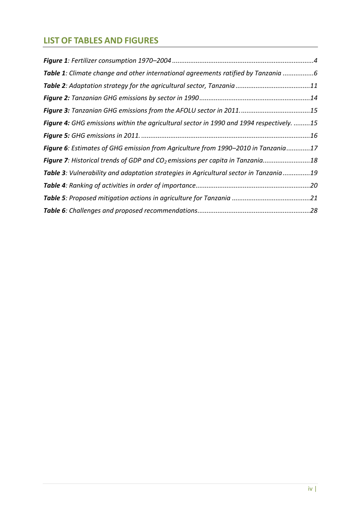# <span id="page-4-0"></span>**LIST OF TABLES AND FIGURES**

| Table 1: Climate change and other international agreements ratified by Tanzania 6         |  |
|-------------------------------------------------------------------------------------------|--|
|                                                                                           |  |
|                                                                                           |  |
|                                                                                           |  |
| Figure 4: GHG emissions within the agricultural sector in 1990 and 1994 respectively. 15  |  |
|                                                                                           |  |
| Figure 6: Estimates of GHG emission from Agriculture from 1990–2010 in Tanzania17         |  |
| Figure 7: Historical trends of GDP and CO <sub>2</sub> emissions per capita in Tanzania18 |  |
| Table 3: Vulnerability and adaptation strategies in Agricultural sector in Tanzania 19    |  |
|                                                                                           |  |
|                                                                                           |  |
|                                                                                           |  |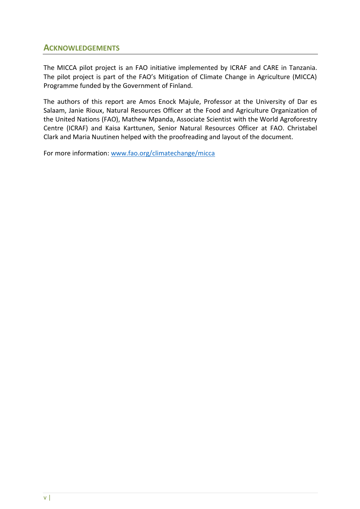## <span id="page-5-0"></span>**ACKNOWLEDGEMENTS**

The MICCA pilot project is an FAO initiative implemented by ICRAF and CARE in Tanzania. The pilot project is part of the FAO's Mitigation of Climate Change in Agriculture (MICCA) Programme funded by the Government of Finland.

The authors of this report are Amos Enock Majule, Professor at the University of Dar es Salaam, Janie Rioux, Natural Resources Officer at the Food and Agriculture Organization of the United Nations (FAO), Mathew Mpanda, Associate Scientist with the World Agroforestry Centre (ICRAF) and Kaisa Karttunen, Senior Natural Resources Officer at FAO. Christabel Clark and Maria Nuutinen helped with the proofreading and layout of the document.

For more information: [www.fao.org/climatechange/micca](http://www.fao.org/climatechange/micca)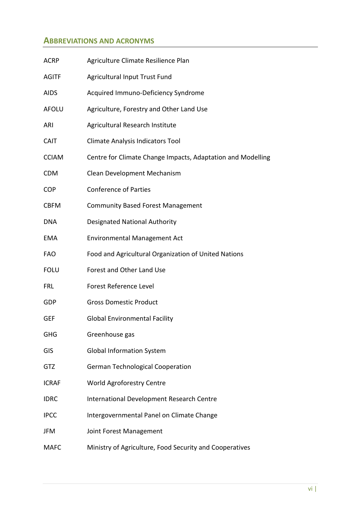## <span id="page-6-0"></span>**ABBREVIATIONS AND ACRONYMS**

| <b>ACRP</b>  | Agriculture Climate Resilience Plan                         |
|--------------|-------------------------------------------------------------|
| <b>AGITF</b> | Agricultural Input Trust Fund                               |
| <b>AIDS</b>  | Acquired Immuno-Deficiency Syndrome                         |
| <b>AFOLU</b> | Agriculture, Forestry and Other Land Use                    |
| ARI          | Agricultural Research Institute                             |
| <b>CAIT</b>  | Climate Analysis Indicators Tool                            |
| <b>CCIAM</b> | Centre for Climate Change Impacts, Adaptation and Modelling |
| <b>CDM</b>   | Clean Development Mechanism                                 |
| <b>COP</b>   | <b>Conference of Parties</b>                                |
| <b>CBFM</b>  | <b>Community Based Forest Management</b>                    |
| <b>DNA</b>   | <b>Designated National Authority</b>                        |
| <b>EMA</b>   | <b>Environmental Management Act</b>                         |
| <b>FAO</b>   | Food and Agricultural Organization of United Nations        |
| <b>FOLU</b>  | Forest and Other Land Use                                   |
| <b>FRL</b>   | Forest Reference Level                                      |
| <b>GDP</b>   | <b>Gross Domestic Product</b>                               |
| GEF          | <b>Global Environmental Facility</b>                        |
| <b>GHG</b>   | Greenhouse gas                                              |
| <b>GIS</b>   | <b>Global Information System</b>                            |
| GTZ          | <b>German Technological Cooperation</b>                     |
| <b>ICRAF</b> | World Agroforestry Centre                                   |
| <b>IDRC</b>  | International Development Research Centre                   |
| <b>IPCC</b>  | Intergovernmental Panel on Climate Change                   |
| JFM          | Joint Forest Management                                     |
| <b>MAFC</b>  | Ministry of Agriculture, Food Security and Cooperatives     |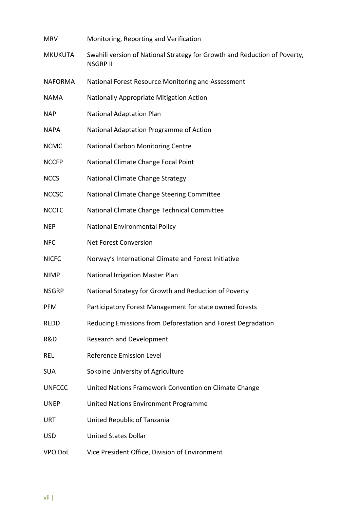| <b>MRV</b>     | Monitoring, Reporting and Verification                                                       |
|----------------|----------------------------------------------------------------------------------------------|
| <b>MKUKUTA</b> | Swahili version of National Strategy for Growth and Reduction of Poverty,<br><b>NSGRP II</b> |
| <b>NAFORMA</b> | National Forest Resource Monitoring and Assessment                                           |
| <b>NAMA</b>    | Nationally Appropriate Mitigation Action                                                     |
| <b>NAP</b>     | <b>National Adaptation Plan</b>                                                              |
| <b>NAPA</b>    | National Adaptation Programme of Action                                                      |
| <b>NCMC</b>    | National Carbon Monitoring Centre                                                            |
| <b>NCCFP</b>   | National Climate Change Focal Point                                                          |
| <b>NCCS</b>    | National Climate Change Strategy                                                             |
| <b>NCCSC</b>   | National Climate Change Steering Committee                                                   |
| <b>NCCTC</b>   | National Climate Change Technical Committee                                                  |
| <b>NEP</b>     | National Environmental Policy                                                                |
| <b>NFC</b>     | <b>Net Forest Conversion</b>                                                                 |
| <b>NICFC</b>   | Norway's International Climate and Forest Initiative                                         |
| <b>NIMP</b>    | National Irrigation Master Plan                                                              |
| <b>NSGRP</b>   | National Strategy for Growth and Reduction of Poverty                                        |
| <b>PFM</b>     | Participatory Forest Management for state owned forests                                      |
| <b>REDD</b>    | Reducing Emissions from Deforestation and Forest Degradation                                 |
| R&D            | <b>Research and Development</b>                                                              |
| <b>REL</b>     | Reference Emission Level                                                                     |
| <b>SUA</b>     | Sokoine University of Agriculture                                                            |
| <b>UNFCCC</b>  | United Nations Framework Convention on Climate Change                                        |
| <b>UNEP</b>    | United Nations Environment Programme                                                         |
| <b>URT</b>     | United Republic of Tanzania                                                                  |
| <b>USD</b>     | <b>United States Dollar</b>                                                                  |
| VPO DoE        | Vice President Office, Division of Environment                                               |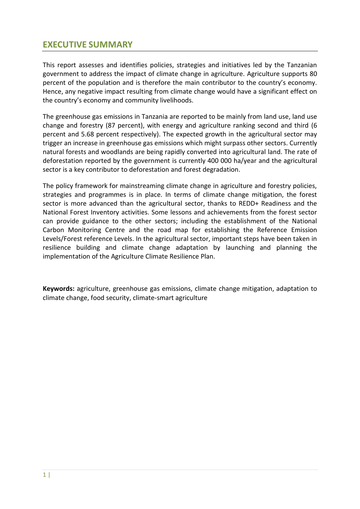# <span id="page-9-0"></span>**EXECUTIVE SUMMARY**

This report assesses and identifies policies, strategies and initiatives led by the Tanzanian government to address the impact of climate change in agriculture. Agriculture supports 80 percent of the population and is therefore the main contributor to the country's economy. Hence, any negative impact resulting from climate change would have a significant effect on the country's economy and community livelihoods.

The greenhouse gas emissions in Tanzania are reported to be mainly from land use, land use change and forestry (87 percent), with energy and agriculture ranking second and third (6 percent and 5.68 percent respectively). The expected growth in the agricultural sector may trigger an increase in greenhouse gas emissions which might surpass other sectors. Currently natural forests and woodlands are being rapidly converted into agricultural land. The rate of deforestation reported by the government is currently 400 000 ha/year and the agricultural sector is a key contributor to deforestation and forest degradation.

The policy framework for mainstreaming climate change in agriculture and forestry policies, strategies and programmes is in place. In terms of climate change mitigation, the forest sector is more advanced than the agricultural sector, thanks to REDD+ Readiness and the National Forest Inventory activities. Some lessons and achievements from the forest sector can provide guidance to the other sectors; including the establishment of the National Carbon Monitoring Centre and the road map for establishing the Reference Emission Levels/Forest reference Levels. In the agricultural sector, important steps have been taken in resilience building and climate change adaptation by launching and planning the implementation of the Agriculture Climate Resilience Plan.

**Keywords:** agriculture, greenhouse gas emissions, climate change mitigation, adaptation to climate change, food security, climate-smart agriculture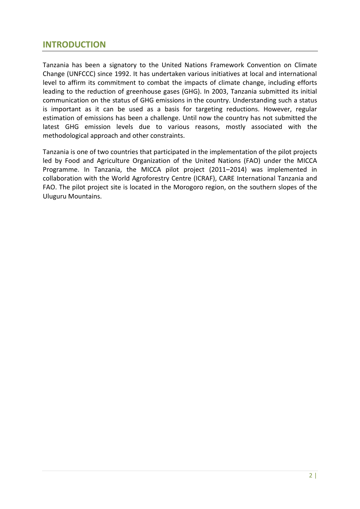# <span id="page-10-0"></span>**INTRODUCTION**

Tanzania has been a signatory to the United Nations Framework Convention on Climate Change (UNFCCC) since 1992. It has undertaken various initiatives at local and international level to affirm its commitment to combat the impacts of climate change, including efforts leading to the reduction of greenhouse gases (GHG). In 2003, Tanzania submitted its initial communication on the status of GHG emissions in the country. Understanding such a status is important as it can be used as a basis for targeting reductions. However, regular estimation of emissions has been a challenge. Until now the country has not submitted the latest GHG emission levels due to various reasons, mostly associated with the methodological approach and other constraints.

Tanzania is one of two countries that participated in the implementation of the pilot projects led by Food and Agriculture Organization of the United Nations (FAO) under the MICCA Programme. In Tanzania, the MICCA pilot project (2011–2014) was implemented in collaboration with the World Agroforestry Centre (ICRAF), CARE International Tanzania and FAO. The pilot project site is located in the Morogoro region, on the southern slopes of the Uluguru Mountains.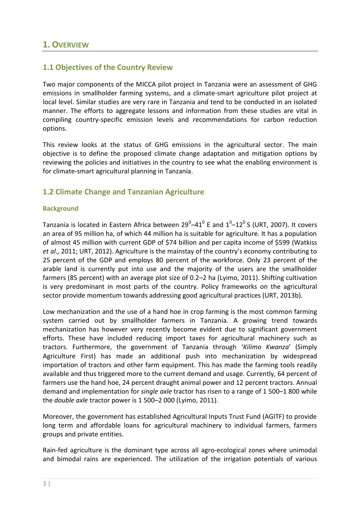## <span id="page-11-1"></span><span id="page-11-0"></span>**1.1 Objectives of the Country Review**

Two major components of the MICCA pilot project in Tanzania were an assessment of GHG emissions in smallholder farming systems, and a climate-smart agriculture pilot project at local level. Similar studies are very rare in Tanzania and tend to be conducted in an isolated manner. The efforts to aggregate lessons and information from these studies are vital in compiling country-specific emission levels and recommendations for carbon reduction options.

This review looks at the status of GHG emissions in the agricultural sector. The main objective is to define the proposed climate change adaptation and mitigation options by reviewing the policies and initiatives in the country to see what the enabling environment is for climate-smart agricultural planning in Tanzania.

## <span id="page-11-2"></span>**1.2 Climate Change and Tanzanian Agriculture**

#### **Background**

Tanzania is located in Eastern Africa between 29 $^0$ –41 $^0$  E and 1 $^0$ –12 $^0$  S (URT, 2007). It covers an area of 95 million ha, of which 44 million ha is suitable for agriculture. It has a population of almost 45 million with current GDP of \$74 billion and per capita income of \$599 (Watkiss *et al.,* 2011; URT, 2012). Agriculture is the mainstay of the country's economy contributing to 25 percent of the GDP and employs 80 percent of the workforce. Only 23 percent of the arable land is currently put into use and the majority of the users are the smallholder farmers (85 percent) with an average plot size of 0.2–2 ha (Lyimo, 2011). Shifting cultivation is very predominant in most parts of the country. Policy frameworks on the agricultural sector provide momentum towards addressing good agricultural practices (URT, 2013b).

Low mechanization and the use of a hand hoe in crop farming is the most common farming system carried out by smallholder farmers in Tanzania. A growing trend towards mechanization has however very recently become evident due to significant government efforts. These have included reducing import taxes for agricultural machinery such as tractors. Furthermore, the government of Tanzania through '*Kilimo Kwanza*' (Simply Agriculture First) has made an additional push into mechanization by widespread importation of tractors and other farm equipment. This has made the farming tools readily available and thus triggered more to the current demand and usage. Currently, 64 percent of farmers use the hand hoe, 24 percent draught animal power and 12 percent tractors. Annual demand and implementation for *single axle* tractor has risen to a range of 1 500–1 800 while the *double axle* tractor power is 1 500–2 000 (Lyimo, 2011).

Moreover, the government has established Agricultural Inputs Trust Fund (AGITF) to provide long term and affordable loans for agricultural machinery to individual farmers, farmers groups and private entities.

Rain-fed agriculture is the dominant type across all agro-ecological zones where unimodal and bimodal rains are experienced. The utilization of the irrigation potentials of various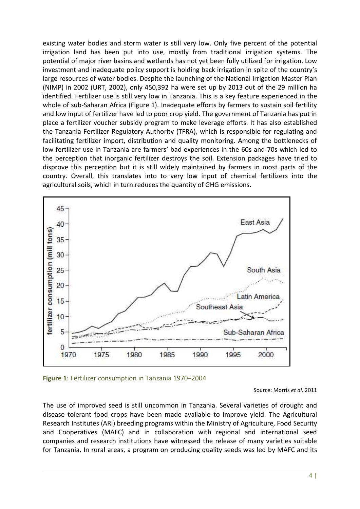existing water bodies and storm water is still very low. Only five percent of the potential irrigation land has been put into use, mostly from traditional irrigation systems. The potential of major river basins and wetlands has not yet been fully utilized for irrigation. Low investment and inadequate policy support is holding back irrigation in spite of the country's large resources of water bodies. Despite the launching of the National Irrigation Master Plan (NIMP) in 2002 (URT, 2002), only 450,392 ha were set up by 2013 out of the 29 million ha identified. Fertilizer use is still very low in Tanzania. This is a key feature experienced in the whole of sub-Saharan Africa (Figure 1). Inadequate efforts by farmers to sustain soil fertility and low input of fertilizer have led to poor crop yield. The government of Tanzania has put in place a fertilizer voucher subsidy program to make leverage efforts. It has also established the Tanzania Fertilizer Regulatory Authority (TFRA), which is responsible for regulating and facilitating fertilizer import, distribution and quality monitoring. Among the bottlenecks of low fertilizer use in Tanzania are farmers' bad experiences in the 60s and 70s which led to the perception that inorganic fertilizer destroys the soil. Extension packages have tried to disprove this perception but it is still widely maintained by farmers in most parts of the country. Overall, this translates into to very low input of chemical fertilizers into the agricultural soils, which in turn reduces the quantity of GHG emissions.



<span id="page-12-0"></span>**Figure 1**: Fertilizer consumption in Tanzania 1970–2004

Source: Morris *et al*. 2011

The use of improved seed is still uncommon in Tanzania. Several varieties of drought and disease tolerant food crops have been made available to improve yield. The Agricultural Research Institutes (ARI) breeding programs within the Ministry of Agriculture, Food Security and Cooperatives (MAFC) and in collaboration with regional and international seed companies and research institutions have witnessed the release of many varieties suitable for Tanzania. In rural areas, a program on producing quality seeds was led by MAFC and its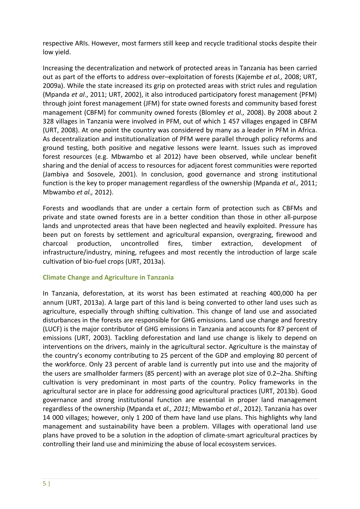respective ARIs. However, most farmers still keep and recycle traditional stocks despite their low yield.

Increasing the decentralization and network of protected areas in Tanzania has been carried out as part of the efforts to address over–exploitation of forests (Kajembe *et al.,* 2008; URT, 2009a). While the state increased its grip on protected areas with strict rules and regulation (Mpanda *et al*., 2011; URT, 2002), it also introduced participatory forest management (PFM) through joint forest management (JFM) for state owned forests and community based forest management (CBFM) for community owned forests (Blomley *et al.,* 2008). By 2008 about 2 328 villages in Tanzania were involved in PFM, out of which 1 457 villages engaged in CBFM (URT, 2008). At one point the country was considered by many as a leader in PFM in Africa. As decentralization and institutionalization of PFM were parallel through policy reforms and ground testing, both positive and negative lessons were learnt. Issues such as improved forest resources (e.g. Mbwambo et al 2012) have been observed, while unclear benefit sharing and the denial of access to resources for adjacent forest communities were reported (Jambiya and Sosovele, 2001). In conclusion, good governance and strong institutional function is the key to proper management regardless of the ownership (Mpanda *et al.,* 2011; Mbwambo *et al.,* 2012).

Forests and woodlands that are under a certain form of protection such as CBFMs and private and state owned forests are in a better condition than those in other all-purpose lands and unprotected areas that have been neglected and heavily exploited. Pressure has been put on forests by settlement and agricultural expansion, overgrazing, firewood and charcoal production, uncontrolled fires, timber extraction, development of infrastructure/industry, mining, refugees and most recently the introduction of large scale cultivation of bio-fuel crops (URT, 2013a).

#### **Climate Change and Agriculture in Tanzania**

In Tanzania, deforestation, at its worst has been estimated at reaching 400,000 ha per annum (URT, 2013a). A large part of this land is being converted to other land uses such as agriculture, especially through shifting cultivation. This change of land use and associated disturbances in the forests are responsible for GHG emissions. Land use change and forestry (LUCF) is the major contributor of GHG emissions in Tanzania and accounts for 87 percent of emissions (URT, 2003). Tackling deforestation and land use change is likely to depend on interventions on the drivers, mainly in the agricultural sector. Agriculture is the mainstay of the country's economy contributing to 25 percent of the GDP and employing 80 percent of the workforce. Only 23 percent of arable land is currently put into use and the majority of the users are smallholder farmers (85 percent) with an average plot size of 0.2–2ha. Shifting cultivation is very predominant in most parts of the country. Policy frameworks in the agricultural sector are in place for addressing good agricultural practices (URT, 2013b). Good governance and strong institutional function are essential in proper land management regardless of the ownership (Mpanda et *al., 2011*; Mbwambo *et al*., 2012). Tanzania has over 14 000 villages; however, only 1 200 of them have land use plans. This highlights why land management and sustainability have been a problem. Villages with operational land use plans have proved to be a solution in the adoption of climate-smart agricultural practices by controlling their land use and minimizing the abuse of local ecosystem services.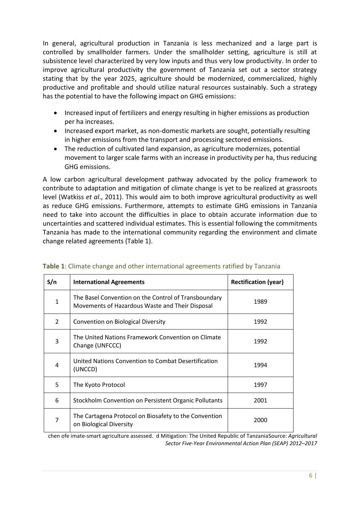In general, agricultural production in Tanzania is less mechanized and a large part is controlled by smallholder farmers. Under the smallholder setting, agriculture is still at subsistence level characterized by very low inputs and thus very low productivity. In order to improve agricultural productivity the government of Tanzania set out a sector strategy stating that by the year 2025, agriculture should be modernized, commercialized, highly productive and profitable and should utilize natural resources sustainably. Such a strategy has the potential to have the following impact on GHG emissions:

- Increased input of fertilizers and energy resulting in higher emissions as production per ha increases.
- Increased export market, as non-domestic markets are sought, potentially resulting in higher emissions from the transport and processing sectored emissions.
- The reduction of cultivated land expansion, as agriculture modernizes, potential movement to larger scale farms with an increase in productivity per ha, thus reducing GHG emissions.

A low carbon agricultural development pathway advocated by the policy framework to contribute to adaptation and mitigation of climate change is yet to be realized at grassroots level (Watkiss *et al*., 2011). This would aim to both improve agricultural productivity as well as reduce GHG emissions. Furthermore, attempts to estimate GHG emissions in Tanzania need to take into account the difficulties in place to obtain accurate information due to uncertainties and scattered individual estimates. This is essential following the commitments Tanzania has made to the international community regarding the environment and climate change related agreements (Table 1).

| S/n            | <b>International Agreements</b>                                                                         | <b>Rectification (year)</b> |
|----------------|---------------------------------------------------------------------------------------------------------|-----------------------------|
| 1              | The Basel Convention on the Control of Transboundary<br>Movements of Hazardous Waste and Their Disposal | 1989                        |
| $\overline{2}$ | Convention on Biological Diversity                                                                      | 1992                        |
| 3              | The United Nations Framework Convention on Climate<br>Change (UNFCCC)                                   | 1992                        |
| 4              | United Nations Convention to Combat Desertification<br>(UNCCD)                                          | 1994                        |
| 5              | The Kyoto Protocol                                                                                      | 1997                        |
| 6              | Stockholm Convention on Persistent Organic Pollutants                                                   | 2001                        |
| 7              | The Cartagena Protocol on Biosafety to the Convention<br>on Biological Diversity                        | 2000                        |

#### <span id="page-14-0"></span>**Table 1**: Climate change and other international agreements ratified by Tanzania

chen ofe imate-smart agriculture assessed. d Mitigation: The United Republic of Tanzania Source: *Agricultural Sector Five-Year Environmental Action Plan (SEAP) 2012–2017*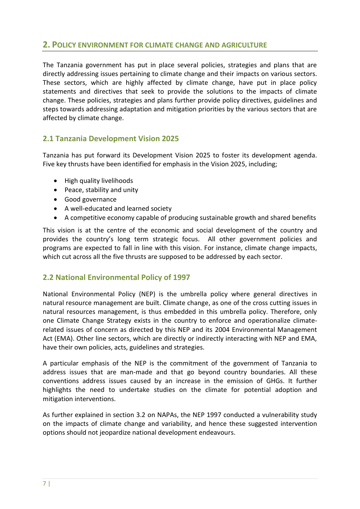## <span id="page-15-0"></span>**2. POLICY ENVIRONMENT FOR CLIMATE CHANGE AND AGRICULTURE**

The Tanzania government has put in place several policies, strategies and plans that are directly addressing issues pertaining to climate change and their impacts on various sectors. These sectors, which are highly affected by climate change, have put in place policy statements and directives that seek to provide the solutions to the impacts of climate change. These policies, strategies and plans further provide policy directives, guidelines and steps towards addressing adaptation and mitigation priorities by the various sectors that are affected by climate change.

## <span id="page-15-1"></span>**2.1 Tanzania Development Vision 2025**

Tanzania has put forward its Development Vision 2025 to foster its development agenda. Five key thrusts have been identified for emphasis in the Vision 2025, including;

- High quality livelihoods
- Peace, stability and unity
- Good governance
- A well-educated and learned society
- A competitive economy capable of producing sustainable growth and shared benefits

This vision is at the centre of the economic and social development of the country and provides the country's long term strategic focus. All other government policies and programs are expected to fall in line with this vision. For instance, climate change impacts, which cut across all the five thrusts are supposed to be addressed by each sector.

### <span id="page-15-2"></span>**2.2 National Environmental Policy of 1997**

National Environmental Policy (NEP) is the umbrella policy where general directives in natural resource management are built. Climate change, as one of the cross cutting issues in natural resources management, is thus embedded in this umbrella policy. Therefore, only one Climate Change Strategy exists in the country to enforce and operationalize climaterelated issues of concern as directed by this NEP and its 2004 Environmental Management Act (EMA). Other line sectors, which are directly or indirectly interacting with NEP and EMA, have their own policies, acts, guidelines and strategies.

A particular emphasis of the NEP is the commitment of the government of Tanzania to address issues that are man-made and that go beyond country boundaries. All these conventions address issues caused by an increase in the emission of GHGs. It further highlights the need to undertake studies on the climate for potential adoption and mitigation interventions.

As further explained in section 3.2 on NAPAs, the NEP 1997 conducted a vulnerability study on the impacts of climate change and variability, and hence these suggested intervention options should not jeopardize national development endeavours.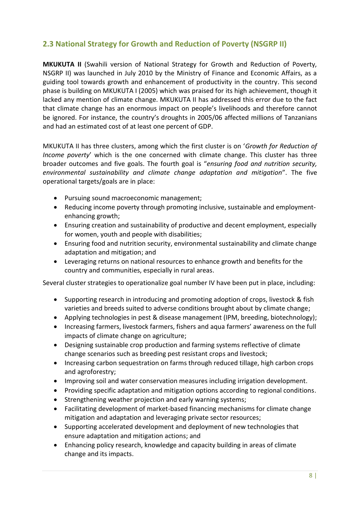# <span id="page-16-0"></span>**2.3 National Strategy for Growth and Reduction of Poverty (NSGRP II)**

**MKUKUTA II** (Swahili version of National Strategy for Growth and Reduction of Poverty, NSGRP II) was launched in July 2010 by the Ministry of Finance and Economic Affairs, as a guiding tool towards growth and enhancement of productivity in the country. This second phase is building on MKUKUTA I (2005) which was praised for its high achievement, though it lacked any mention of climate change. MKUKUTA II has addressed this error due to the fact that climate change has an enormous impact on people's livelihoods and therefore cannot be ignored. For instance, the country's droughts in 2005/06 affected millions of Tanzanians and had an estimated cost of at least one percent of GDP.

MKUKUTA II has three clusters, among which the first cluster is on '*Growth for Reduction of Income poverty*' which is the one concerned with climate change. This cluster has three broader outcomes and five goals. The fourth goal is "*ensuring food and nutrition security, environmental sustainability and climate change adaptation and mitigation*". The five operational targets/goals are in place:

- Pursuing sound macroeconomic management;
- Reducing income poverty through promoting inclusive, sustainable and employmentenhancing growth;
- Ensuring creation and sustainability of productive and decent employment, especially for women, youth and people with disabilities;
- Ensuring food and nutrition security, environmental sustainability and climate change adaptation and mitigation; and
- Leveraging returns on national resources to enhance growth and benefits for the country and communities, especially in rural areas.

Several cluster strategies to operationalize goal number IV have been put in place, including:

- Supporting research in introducing and promoting adoption of crops, livestock & fish varieties and breeds suited to adverse conditions brought about by climate change;
- Applying technologies in pest & disease management (IPM, breeding, biotechnology);
- Increasing farmers, livestock farmers, fishers and aqua farmers' awareness on the full impacts of climate change on agriculture;
- Designing sustainable crop production and farming systems reflective of climate change scenarios such as breeding pest resistant crops and livestock;
- Increasing carbon sequestration on farms through reduced tillage, high carbon crops and agroforestry;
- Improving soil and water conservation measures including irrigation development.
- Providing specific adaptation and mitigation options according to regional conditions.
- Strengthening weather projection and early warning systems;
- Facilitating development of market-based financing mechanisms for climate change mitigation and adaptation and leveraging private sector resources;
- Supporting accelerated development and deployment of new technologies that ensure adaptation and mitigation actions; and
- Enhancing policy research, knowledge and capacity building in areas of climate change and its impacts.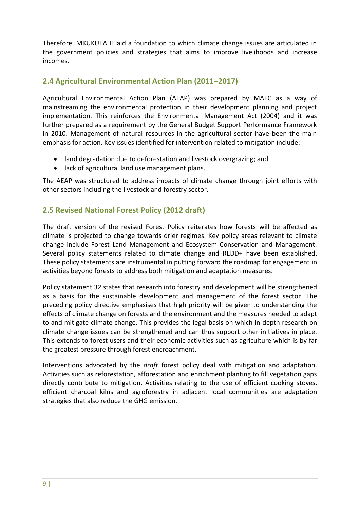Therefore, MKUKUTA II laid a foundation to which climate change issues are articulated in the government policies and strategies that aims to improve livelihoods and increase incomes.

## <span id="page-17-0"></span>**2.4 Agricultural Environmental Action Plan (2011–2017)**

Agricultural Environmental Action Plan (AEAP) was prepared by MAFC as a way of mainstreaming the environmental protection in their development planning and project implementation. This reinforces the Environmental Management Act (2004) and it was further prepared as a requirement by the General Budget Support Performance Framework in 2010. Management of natural resources in the agricultural sector have been the main emphasis for action. Key issues identified for intervention related to mitigation include:

- land degradation due to deforestation and livestock overgrazing; and
- lack of agricultural land use management plans.

The AEAP was structured to address impacts of climate change through joint efforts with other sectors including the livestock and forestry sector.

## <span id="page-17-1"></span>**2.5 Revised National Forest Policy (2012 draft)**

The draft version of the revised Forest Policy reiterates how forests will be affected as climate is projected to change towards drier regimes. Key policy areas relevant to climate change include Forest Land Management and Ecosystem Conservation and Management. Several policy statements related to climate change and REDD+ have been established. These policy statements are instrumental in putting forward the roadmap for engagement in activities beyond forests to address both mitigation and adaptation measures.

Policy statement 32 states that research into forestry and development will be strengthened as a basis for the sustainable development and management of the forest sector. The preceding policy directive emphasises that high priority will be given to understanding the effects of climate change on forests and the environment and the measures needed to adapt to and mitigate climate change. This provides the legal basis on which in-depth research on climate change issues can be strengthened and can thus support other initiatives in place. This extends to forest users and their economic activities such as agriculture which is by far the greatest pressure through forest encroachment.

Interventions advocated by the *draft* forest policy deal with mitigation and adaptation. Activities such as reforestation, afforestation and enrichment planting to fill vegetation gaps directly contribute to mitigation. Activities relating to the use of efficient cooking stoves, efficient charcoal kilns and agroforestry in adjacent local communities are adaptation strategies that also reduce the GHG emission.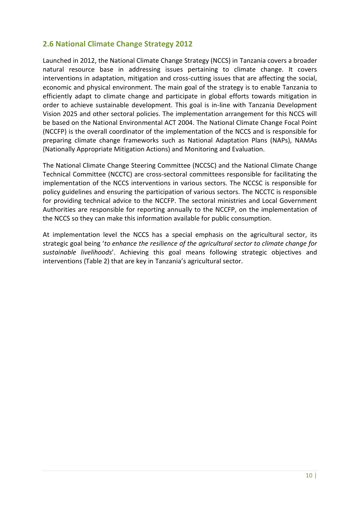## <span id="page-18-0"></span>**2.6 National Climate Change Strategy 2012**

Launched in 2012, the National Climate Change Strategy (NCCS) in Tanzania covers a broader natural resource base in addressing issues pertaining to climate change. It covers interventions in adaptation, mitigation and cross-cutting issues that are affecting the social, economic and physical environment. The main goal of the strategy is to enable Tanzania to efficiently adapt to climate change and participate in global efforts towards mitigation in order to achieve sustainable development. This goal is in-line with Tanzania Development Vision 2025 and other sectoral policies. The implementation arrangement for this NCCS will be based on the National Environmental ACT 2004. The National Climate Change Focal Point (NCCFP) is the overall coordinator of the implementation of the NCCS and is responsible for preparing climate change frameworks such as National Adaptation Plans (NAPs), NAMAs (Nationally Appropriate Mitigation Actions) and Monitoring and Evaluation.

The National Climate Change Steering Committee (NCCSC) and the National Climate Change Technical Committee (NCCTC) are cross-sectoral committees responsible for facilitating the implementation of the NCCS interventions in various sectors. The NCCSC is responsible for policy guidelines and ensuring the participation of various sectors. The NCCTC is responsible for providing technical advice to the NCCFP. The sectoral ministries and Local Government Authorities are responsible for reporting annually to the NCCFP, on the implementation of the NCCS so they can make this information available for public consumption.

At implementation level the NCCS has a special emphasis on the agricultural sector, its strategic goal being '*to enhance the resilience of the agricultural sector to climate change for sustainable livelihoods*'. Achieving this goal means following strategic objectives and interventions (Table 2) that are key in Tanzania's agricultural sector.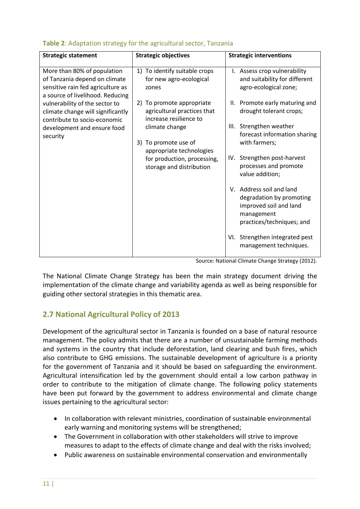| <b>Strategic statement</b>                                                                                                            | <b>Strategic objectives</b>                                                         | <b>Strategic interventions</b>                                                                                            |
|---------------------------------------------------------------------------------------------------------------------------------------|-------------------------------------------------------------------------------------|---------------------------------------------------------------------------------------------------------------------------|
| More than 80% of population<br>of Tanzania depend on climate<br>sensitive rain fed agriculture as<br>a source of livelihood. Reducing | To identify suitable crops<br>1)<br>for new agro-ecological<br>zones                | I. Assess crop vulnerability<br>and suitability for different<br>agro-ecological zone;                                    |
| vulnerability of the sector to<br>climate change will significantly<br>contribute to socio-economic                                   | 2) To promote appropriate<br>agricultural practices that<br>increase resilience to  | II. Promote early maturing and<br>drought tolerant crops;                                                                 |
| development and ensure food<br>security                                                                                               | climate change<br>3) To promote use of                                              | III. Strengthen weather<br>forecast information sharing<br>with farmers;                                                  |
|                                                                                                                                       | appropriate technologies<br>for production, processing,<br>storage and distribution | IV. Strengthen post-harvest<br>processes and promote<br>value addition;                                                   |
|                                                                                                                                       |                                                                                     | V. Address soil and land<br>degradation by promoting<br>improved soil and land<br>management<br>practices/techniques; and |
|                                                                                                                                       |                                                                                     | VI. Strengthen integrated pest<br>management techniques.                                                                  |

#### <span id="page-19-1"></span>**Table 2**: Adaptation strategy for the agricultural sector, Tanzania

Source: National Climate Change Strategy (2012).

The National Climate Change Strategy has been the main strategy document driving the implementation of the climate change and variability agenda as well as being responsible for guiding other sectoral strategies in this thematic area.

## <span id="page-19-0"></span>**2.7 National Agricultural Policy of 2013**

Development of the agricultural sector in Tanzania is founded on a base of natural resource management. The policy admits that there are a number of unsustainable farming methods and systems in the country that include deforestation, land clearing and bush fires, which also contribute to GHG emissions. The sustainable development of agriculture is a priority for the government of Tanzania and it should be based on safeguarding the environment. Agricultural intensification led by the government should entail a low carbon pathway in order to contribute to the mitigation of climate change. The following policy statements have been put forward by the government to address environmental and climate change issues pertaining to the agricultural sector:

- In collaboration with relevant ministries, coordination of sustainable environmental early warning and monitoring systems will be strengthened;
- The Government in collaboration with other stakeholders will strive to improve measures to adapt to the effects of climate change and deal with the risks involved;
- Public awareness on sustainable environmental conservation and environmentally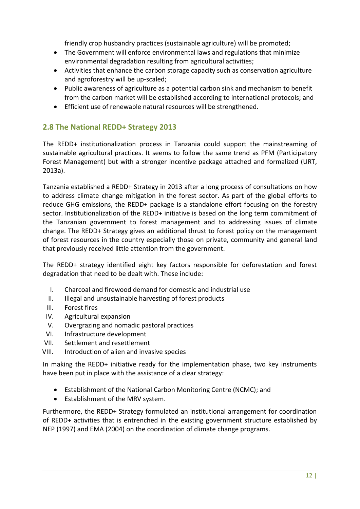friendly crop husbandry practices (sustainable agriculture) will be promoted;

- The Government will enforce environmental laws and regulations that minimize environmental degradation resulting from agricultural activities;
- Activities that enhance the carbon storage capacity such as conservation agriculture and agroforestry will be up-scaled;
- Public awareness of agriculture as a potential carbon sink and mechanism to benefit from the carbon market will be established according to international protocols; and
- Efficient use of renewable natural resources will be strengthened.

## <span id="page-20-0"></span>**2.8 The National REDD+ Strategy 2013**

The REDD+ institutionalization process in Tanzania could support the mainstreaming of sustainable agricultural practices. It seems to follow the same trend as PFM (Participatory Forest Management) but with a stronger incentive package attached and formalized (URT, 2013a).

Tanzania established a REDD+ Strategy in 2013 after a long process of consultations on how to address climate change mitigation in the forest sector. As part of the global efforts to reduce GHG emissions, the REDD+ package is a standalone effort focusing on the forestry sector. Institutionalization of the REDD+ initiative is based on the long term commitment of the Tanzanian government to forest management and to addressing issues of climate change. The REDD+ Strategy gives an additional thrust to forest policy on the management of forest resources in the country especially those on private, community and general land that previously received little attention from the government.

The REDD+ strategy identified eight key factors responsible for deforestation and forest degradation that need to be dealt with. These include:

- I. Charcoal and firewood demand for domestic and industrial use
- II. Illegal and unsustainable harvesting of forest products
- III. Forest fires
- IV. Agricultural expansion
- V. Overgrazing and nomadic pastoral practices
- VI. Infrastructure development
- VII. Settlement and resettlement
- VIII. Introduction of alien and invasive species

In making the REDD+ initiative ready for the implementation phase, two key instruments have been put in place with the assistance of a clear strategy:

- Establishment of the National Carbon Monitoring Centre (NCMC); and
- Establishment of the MRV system.

Furthermore, the REDD+ Strategy formulated an institutional arrangement for coordination of REDD+ activities that is entrenched in the existing government structure established by NEP (1997) and EMA (2004) on the coordination of climate change programs.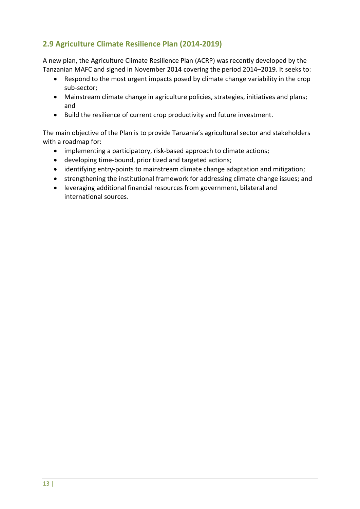# <span id="page-21-0"></span>**2.9 Agriculture Climate Resilience Plan (2014-2019)**

A new plan, the Agriculture Climate Resilience Plan (ACRP) was recently developed by the Tanzanian MAFC and signed in November 2014 covering the period 2014–2019. It seeks to:

- Respond to the most urgent impacts posed by climate change variability in the crop sub-sector;
- Mainstream climate change in agriculture policies, strategies, initiatives and plans; and
- Build the resilience of current crop productivity and future investment.

The main objective of the Plan is to provide Tanzania's agricultural sector and stakeholders with a roadmap for:

- implementing a participatory, risk-based approach to climate actions;
- developing time-bound, prioritized and targeted actions;
- identifying entry-points to mainstream climate change adaptation and mitigation;
- strengthening the institutional framework for addressing climate change issues; and
- leveraging additional financial resources from government, bilateral and international sources.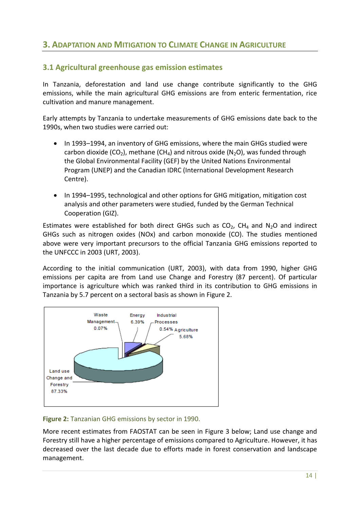# <span id="page-22-0"></span>**3. ADAPTATION AND MITIGATION TO CLIMATE CHANGE IN AGRICULTURE**

## <span id="page-22-1"></span>**3.1 Agricultural greenhouse gas emission estimates**

In Tanzania, deforestation and land use change contribute significantly to the GHG emissions, while the main agricultural GHG emissions are from enteric fermentation, rice cultivation and manure management.

Early attempts by Tanzania to undertake measurements of GHG emissions date back to the 1990s, when two studies were carried out:

- In 1993–1994, an inventory of GHG emissions, where the main GHGs studied were carbon dioxide (CO<sub>2</sub>), methane (CH<sub>4</sub>) and nitrous oxide (N<sub>2</sub>O), was funded through the Global Environmental Facility (GEF) by the United Nations Environmental Program (UNEP) and the Canadian IDRC (International Development Research Centre).
- In 1994–1995, technological and other options for GHG mitigation, mitigation cost analysis and other parameters were studied, funded by the German Technical Cooperation (GIZ).

Estimates were established for both direct GHGs such as  $CO<sub>2</sub>$ , CH<sub>4</sub> and N<sub>2</sub>O and indirect GHGs such as nitrogen oxides (NOx) and carbon monoxide (CO). The studies mentioned above were very important precursors to the official Tanzania GHG emissions reported to the UNFCCC in 2003 (URT, 2003).

According to the initial communication (URT, 2003), with data from 1990, higher GHG emissions per capita are from Land use Change and Forestry (87 percent). Of particular importance is agriculture which was ranked third in its contribution to GHG emissions in Tanzania by 5.7 percent on a sectoral basis as shown in Figure 2.



#### <span id="page-22-2"></span>**Figure 2:** Tanzanian GHG emissions by sector in 1990.

More recent estimates from FAOSTAT can be seen in Figure 3 below; Land use change and Forestry still have a higher percentage of emissions compared to Agriculture. However, it has decreased over the last decade due to efforts made in forest conservation and landscape management.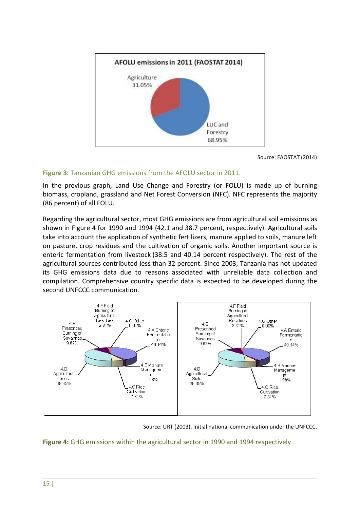

Source: FAOSTAT (2014)

#### <span id="page-23-0"></span>**Figure 3:** Tanzanian GHG emissions from the AFOLU sector in 2011.

In the previous graph, Land Use Change and Forestry (or FOLU) is made up of burning biomass, cropland, grassland and Net Forest Conversion (NFC). NFC represents the majority (86 percent) of all FOLU.

Regarding the agricultural sector, most GHG emissions are from agricultural soil emissions as shown in Figure 4 for 1990 and 1994 (42.1 and 38.7 percent, respectively). Agricultural soils take into account the application of synthetic fertilizers, manure applied to soils, manure left on pasture, crop residues and the cultivation of organic soils. Another important source is enteric fermentation from livestock (38.5 and 40.14 percent respectively). The rest of the agricultural sources contributed less than 32 percent. Since 2003, Tanzania has not updated its GHG emissions data due to reasons associated with unreliable data collection and compilation. Comprehensive country specific data is expected to be developed during the second UNFCCC communication.



Source: URT (2003). Initial national communication under the UNFCCC.

<span id="page-23-1"></span>**Figure 4:** GHG emissions within the agricultural sector in 1990 and 1994 respectively.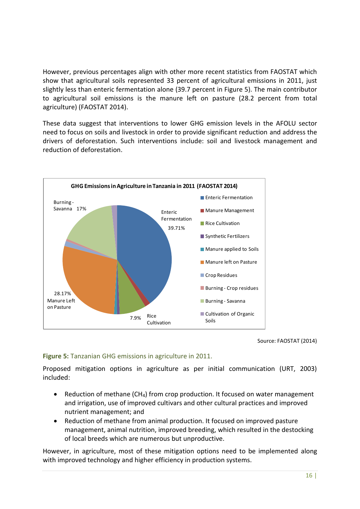However, previous percentages align with other more recent statistics from FAOSTAT which show that agricultural soils represented 33 percent of agricultural emissions in 2011, just slightly less than enteric fermentation alone (39.7 percent in Figure 5). The main contributor to agricultural soil emissions is the manure left on pasture (28.2 percent from total agriculture) (FAOSTAT 2014).

These data suggest that interventions to lower GHG emission levels in the AFOLU sector need to focus on soils and livestock in order to provide significant reduction and address the drivers of deforestation. Such interventions include: soil and livestock management and reduction of deforestation.



Source: FAOSTAT (2014)

#### <span id="page-24-0"></span>**Figure 5:** Tanzanian GHG emissions in agriculture in 2011.

Proposed mitigation options in agriculture as per initial communication (URT, 2003) included:

- Reduction of methane (CH<sub>4</sub>) from crop production. It focused on water management and irrigation, use of improved cultivars and other cultural practices and improved nutrient management; and
- Reduction of methane from animal production. It focused on improved pasture management, animal nutrition, improved breeding, which resulted in the destocking of local breeds which are numerous but unproductive.

However, in agriculture, most of these mitigation options need to be implemented along with improved technology and higher efficiency in production systems.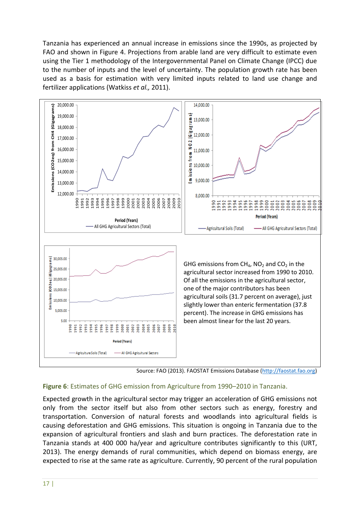Tanzania has experienced an annual increase in emissions since the 1990s, as projected by FAO and shown in Figure 4. Projections from arable land are very difficult to estimate even using the Tier 1 methodology of the Intergovernmental Panel on Climate Change (IPCC) due to the number of inputs and the level of uncertainty. The population growth rate has been used as a basis for estimation with very limited inputs related to land use change and fertilizer applications (Watkiss *et al.,* 2011).



Source: FAO (2013). FAOSTAT Emissions Database [\(http://faostat.fao.org\)](http://faostat.fao.org/)

#### <span id="page-25-0"></span>**Figure 6**: Estimates of GHG emission from Agriculture from 1990–2010 in Tanzania.

Expected growth in the agricultural sector may trigger an acceleration of GHG emissions not only from the sector itself but also from other sectors such as energy, forestry and transportation. Conversion of natural forests and woodlands into agricultural fields is causing deforestation and GHG emissions. This situation is ongoing in Tanzania due to the expansion of agricultural frontiers and slash and burn practices. The deforestation rate in Tanzania stands at 400 000 ha/year and agriculture contributes significantly to this (URT, 2013). The energy demands of rural communities, which depend on biomass energy, are expected to rise at the same rate as agriculture. Currently, 90 percent of the rural population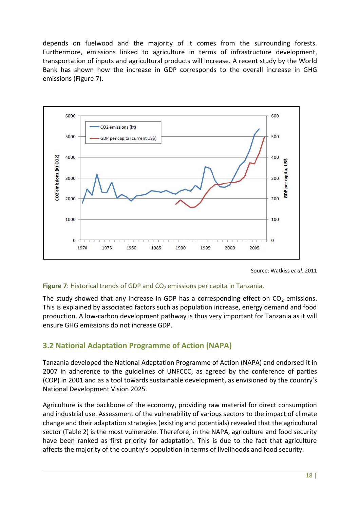depends on fuelwood and the majority of it comes from the surrounding forests. Furthermore, emissions linked to agriculture in terms of infrastructure development, transportation of inputs and agricultural products will increase. A recent study by the World Bank has shown how the increase in GDP corresponds to the overall increase in GHG emissions (Figure 7).



Source: Watkiss *et al.* 2011

#### <span id="page-26-1"></span>**Figure** 7: Historical trends of GDP and CO<sub>2</sub> emissions per capita in Tanzania.

The study showed that any increase in GDP has a corresponding effect on  $CO<sub>2</sub>$  emissions. This is explained by associated factors such as population increase, energy demand and food production. A low-carbon development pathway is thus very important for Tanzania as it will ensure GHG emissions do not increase GDP.

## <span id="page-26-0"></span>**3.2 National Adaptation Programme of Action (NAPA)**

Tanzania developed the National Adaptation Programme of Action (NAPA) and endorsed it in 2007 in adherence to the guidelines of UNFCCC, as agreed by the conference of parties (COP) in 2001 and as a tool towards sustainable development, as envisioned by the country's National Development Vision 2025.

Agriculture is the backbone of the economy, providing raw material for direct consumption and industrial use. Assessment of the vulnerability of various sectors to the impact of climate change and their adaptation strategies (existing and potentials) revealed that the agricultural sector (Table 2) is the most vulnerable. Therefore, in the NAPA, agriculture and food security have been ranked as first priority for adaptation. This is due to the fact that agriculture affects the majority of the country's population in terms of livelihoods and food security.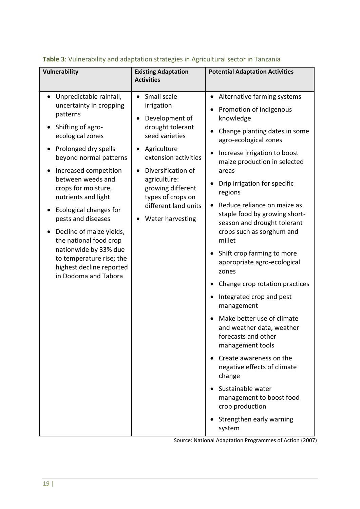| <b>Vulnerability</b><br><b>Existing Adaptation</b><br><b>Activities</b>                                                                                                                                                                                                                                                                                                                                                                                                                                                                                                                                                                                                                                                                                                                                                         | <b>Potential Adaptation Activities</b>                                                                                                                                                                                                                                                                                                                                                                                                                                                                                                                                                                                                                                                                                                   |
|---------------------------------------------------------------------------------------------------------------------------------------------------------------------------------------------------------------------------------------------------------------------------------------------------------------------------------------------------------------------------------------------------------------------------------------------------------------------------------------------------------------------------------------------------------------------------------------------------------------------------------------------------------------------------------------------------------------------------------------------------------------------------------------------------------------------------------|------------------------------------------------------------------------------------------------------------------------------------------------------------------------------------------------------------------------------------------------------------------------------------------------------------------------------------------------------------------------------------------------------------------------------------------------------------------------------------------------------------------------------------------------------------------------------------------------------------------------------------------------------------------------------------------------------------------------------------------|
| Small scale<br>Unpredictable rainfall,<br>$\bullet$<br>$\bullet$<br>$\bullet$<br>uncertainty in cropping<br>irrigation<br>patterns<br>Development of<br>$\bullet$<br>drought tolerant<br>Shifting of agro-<br>seed varieties<br>ecological zones<br>Prolonged dry spells<br>Agriculture<br>extension activities<br>beyond normal patterns<br>Diversification of<br>Increased competition<br>between weeds and<br>agriculture:<br>crops for moisture,<br>growing different<br>types of crops on<br>nutrients and light<br>different land units<br>Ecological changes for<br>pests and diseases<br>Water harvesting<br>Decline of maize yields,<br>the national food crop<br>nationwide by 33% due<br>to temperature rise; the<br>highest decline reported<br>in Dodoma and Tabora<br>management to boost food<br>crop production | Alternative farming systems<br>Promotion of indigenous<br>knowledge<br>Change planting dates in some<br>agro-ecological zones<br>Increase irrigation to boost<br>maize production in selected<br>areas<br>Drip irrigation for specific<br>regions<br>Reduce reliance on maize as<br>staple food by growing short-<br>season and drought tolerant<br>crops such as sorghum and<br>millet<br>Shift crop farming to more<br>appropriate agro-ecological<br>zones<br>Change crop rotation practices<br>Integrated crop and pest<br>management<br>Make better use of climate<br>and weather data, weather<br>forecasts and other<br>management tools<br>Create awareness on the<br>negative effects of climate<br>change<br>Sustainable water |

# <span id="page-27-0"></span>**Table 3**: Vulnerability and adaptation strategies in Agricultural sector in Tanzania

Source: National Adaptation Programmes of Action (2007)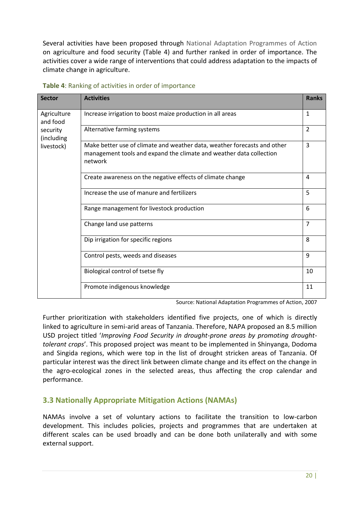Several activities have been proposed through National Adaptation Programmes of Action on agriculture and food security (Table 4) and further ranked in order of importance. The activities cover a wide range of interventions that could address adaptation to the impacts of climate change in agriculture.

| <b>Sector</b>                                                   | <b>Activities</b>                                                                                                                                          | <b>Ranks</b>   |
|-----------------------------------------------------------------|------------------------------------------------------------------------------------------------------------------------------------------------------------|----------------|
| Agriculture<br>and food<br>security<br>(including<br>livestock) | Increase irrigation to boost maize production in all areas                                                                                                 |                |
|                                                                 | Alternative farming systems                                                                                                                                | $\overline{2}$ |
|                                                                 | Make better use of climate and weather data, weather forecasts and other<br>management tools and expand the climate and weather data collection<br>network |                |
|                                                                 | Create awareness on the negative effects of climate change                                                                                                 | 4              |
|                                                                 | Increase the use of manure and fertilizers                                                                                                                 | 5              |
|                                                                 | Range management for livestock production                                                                                                                  | 6              |
|                                                                 | Change land use patterns                                                                                                                                   | $\overline{7}$ |
|                                                                 | Dip irrigation for specific regions                                                                                                                        | 8              |
|                                                                 | Control pests, weeds and diseases                                                                                                                          | 9              |
|                                                                 | Biological control of tsetse fly                                                                                                                           | 10             |
|                                                                 | Promote indigenous knowledge                                                                                                                               | 11             |

#### <span id="page-28-1"></span>**Table 4**: Ranking of activities in order of importance

Source: National Adaptation Programmes of Action, 2007

Further prioritization with stakeholders identified five projects, one of which is directly linked to agriculture in semi-arid areas of Tanzania. Therefore, NAPA proposed an 8.5 million USD project titled '*Improving Food Security in drought-prone areas by promoting droughttolerant crops*'. This proposed project was meant to be implemented in Shinyanga, Dodoma and Singida regions, which were top in the list of drought stricken areas of Tanzania. Of particular interest was the direct link between climate change and its effect on the change in the agro-ecological zones in the selected areas, thus affecting the crop calendar and performance.

## <span id="page-28-0"></span>**3.3 Nationally Appropriate Mitigation Actions (NAMAs)**

NAMAs involve a set of voluntary actions to facilitate the transition to low-carbon development. This includes policies, projects and programmes that are undertaken at different scales can be used broadly and can be done both unilaterally and with some external support.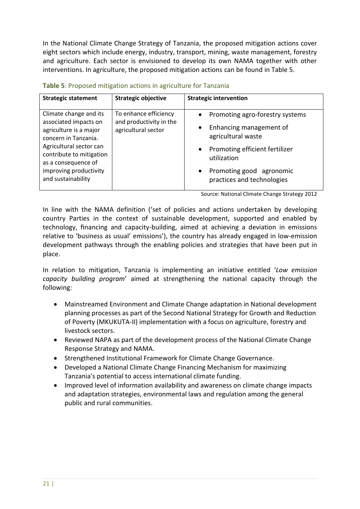In the National Climate Change Strategy of Tanzania, the proposed mitigation actions cover eight sectors which include energy, industry, transport, mining, waste management, forestry and agriculture. Each sector is envisioned to develop its own NAMA together with other interventions. In agriculture, the proposed mitigation actions can be found in Table 5.

| <b>Strategic statement</b>                                                                                                                                                                                                      | <b>Strategic objective</b>                                              | <b>Strategic intervention</b>                                                                                                                                                               |
|---------------------------------------------------------------------------------------------------------------------------------------------------------------------------------------------------------------------------------|-------------------------------------------------------------------------|---------------------------------------------------------------------------------------------------------------------------------------------------------------------------------------------|
| Climate change and its<br>associated impacts on<br>agriculture is a major<br>concern in Tanzania.<br>Agricultural sector can<br>contribute to mitigation<br>as a consequence of<br>improving productivity<br>and sustainability | To enhance efficiency<br>and productivity in the<br>agricultural sector | Promoting agro-forestry systems<br>Enhancing management of<br>agricultural waste<br>Promoting efficient fertilizer<br>utilization<br>Promoting good agronomic<br>practices and technologies |

<span id="page-29-0"></span>

| Table 5: Proposed mitigation actions in agriculture for Tanzania |  |  |  |
|------------------------------------------------------------------|--|--|--|
|------------------------------------------------------------------|--|--|--|

Source: National Climate Change Strategy 2012

In line with the NAMA definition ('set of policies and actions undertaken by developing country Parties in the context of sustainable development, supported and enabled by technology, financing and capacity-building, aimed at achieving a deviation in emissions relative to 'business as usual' emissions'), the country has already engaged in low-emission development pathways through the enabling policies and strategies that have been put in place.

In relation to mitigation, Tanzania is implementing an initiative entitled '*Low emission capacity building program*' aimed at strengthening the national capacity through the following:

- Mainstreamed Environment and Climate Change adaptation in National development planning processes as part of the Second National Strategy for Growth and Reduction of Poverty (MKUKUTA-II) implementation with a focus on agriculture, forestry and livestock sectors.
- Reviewed NAPA as part of the development process of the National Climate Change Response Strategy and NAMA.
- Strengthened Institutional Framework for Climate Change Governance.
- Developed a National Climate Change Financing Mechanism for maximizing Tanzania's potential to access international climate funding.
- Improved level of information availability and awareness on climate change impacts and adaptation strategies, environmental laws and regulation among the general public and rural communities.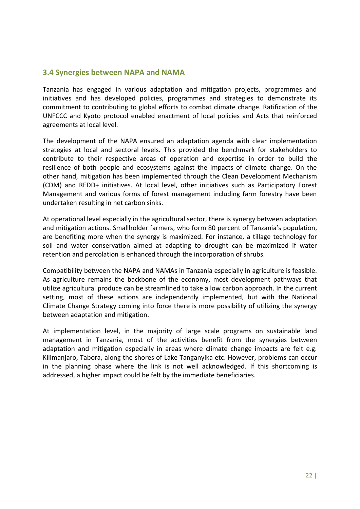### <span id="page-30-0"></span>**3.4 Synergies between NAPA and NAMA**

Tanzania has engaged in various adaptation and mitigation projects, programmes and initiatives and has developed policies, programmes and strategies to demonstrate its commitment to contributing to global efforts to combat climate change. Ratification of the UNFCCC and Kyoto protocol enabled enactment of local policies and Acts that reinforced agreements at local level.

The development of the NAPA ensured an adaptation agenda with clear implementation strategies at local and sectoral levels. This provided the benchmark for stakeholders to contribute to their respective areas of operation and expertise in order to build the resilience of both people and ecosystems against the impacts of climate change. On the other hand, mitigation has been implemented through the Clean Development Mechanism (CDM) and REDD+ initiatives. At local level, other initiatives such as Participatory Forest Management and various forms of forest management including farm forestry have been undertaken resulting in net carbon sinks.

At operational level especially in the agricultural sector, there is synergy between adaptation and mitigation actions. Smallholder farmers, who form 80 percent of Tanzania's population, are benefiting more when the synergy is maximized. For instance, a tillage technology for soil and water conservation aimed at adapting to drought can be maximized if water retention and percolation is enhanced through the incorporation of shrubs.

Compatibility between the NAPA and NAMAs in Tanzania especially in agriculture is feasible. As agriculture remains the backbone of the economy, most development pathways that utilize agricultural produce can be streamlined to take a low carbon approach. In the current setting, most of these actions are independently implemented, but with the National Climate Change Strategy coming into force there is more possibility of utilizing the synergy between adaptation and mitigation.

At implementation level, in the majority of large scale programs on sustainable land management in Tanzania, most of the activities benefit from the synergies between adaptation and mitigation especially in areas where climate change impacts are felt e.g. Kilimanjaro, Tabora, along the shores of Lake Tanganyika etc. However, problems can occur in the planning phase where the link is not well acknowledged. If this shortcoming is addressed, a higher impact could be felt by the immediate beneficiaries.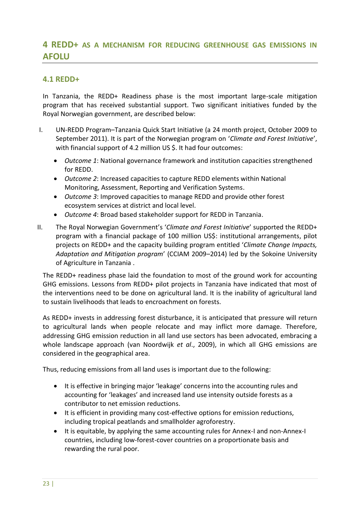# <span id="page-31-0"></span>**4 REDD+ AS A MECHANISM FOR REDUCING GREENHOUSE GAS EMISSIONS IN AFOLU**

#### <span id="page-31-1"></span>**4.1 REDD+**

In Tanzania, the REDD+ Readiness phase is the most important large-scale mitigation program that has received substantial support. Two significant initiatives funded by the Royal Norwegian government, are described below:

- I. UN-REDD Program–Tanzania Quick Start Initiative (a 24 month project, October 2009 to September 2011). It is part of the Norwegian program on '*Climate and Forest Initiative*', with financial support of 4.2 million US \$. It had four outcomes:
	- *Outcome 1*: National governance framework and institution capacities strengthened for REDD.
	- *Outcome 2*: Increased capacities to capture REDD elements within National Monitoring, Assessment, Reporting and Verification Systems.
	- *Outcome 3*: Improved capacities to manage REDD and provide other forest ecosystem services at district and local level.
	- *Outcome 4*: Broad based stakeholder support for REDD in Tanzania.
- II. The Royal Norwegian Government's '*Climate and Forest Initiative*' supported the REDD+ program with a financial package of 100 million US\$: institutional arrangements, pilot projects on REDD+ and the capacity building program entitled '*Climate Change Impacts, Adaptation and Mitigation program*' (CCIAM 2009–2014) led by the Sokoine University of Agriculture in Tanzania .

The REDD+ readiness phase laid the foundation to most of the ground work for accounting GHG emissions. Lessons from REDD+ pilot projects in Tanzania have indicated that most of the interventions need to be done on agricultural land. It is the inability of agricultural land to sustain livelihoods that leads to encroachment on forests.

As REDD+ invests in addressing forest disturbance, it is anticipated that pressure will return to agricultural lands when people relocate and may inflict more damage. Therefore, addressing GHG emission reduction in all land use sectors has been advocated, embracing a whole landscape approach (van Noordwijk *et al*., 2009), in which all GHG emissions are considered in the geographical area.

Thus, reducing emissions from all land uses is important due to the following:

- It is effective in bringing major 'leakage' concerns into the accounting rules and accounting for 'leakages' and increased land use intensity outside forests as a contributor to net emission reductions.
- It is efficient in providing many cost-effective options for emission reductions, including tropical peatlands and smallholder agroforestry.
- It is equitable, by applying the same accounting rules for Annex-I and non-Annex-I countries, including low-forest-cover countries on a proportionate basis and rewarding the rural poor.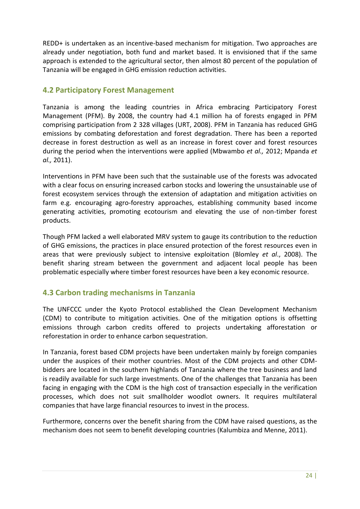REDD+ is undertaken as an incentive-based mechanism for mitigation. Two approaches are already under negotiation, both fund and market based. It is envisioned that if the same approach is extended to the agricultural sector, then almost 80 percent of the population of Tanzania will be engaged in GHG emission reduction activities.

## <span id="page-32-0"></span>**4.2 Participatory Forest Management**

Tanzania is among the leading countries in Africa embracing Participatory Forest Management (PFM). By 2008, the country had 4.1 million ha of forests engaged in PFM comprising participation from 2 328 villages (URT, 2008). PFM in Tanzania has reduced GHG emissions by combating deforestation and forest degradation. There has been a reported decrease in forest destruction as well as an increase in forest cover and forest resources during the period when the interventions were applied (Mbwambo *et al.,* 2012; Mpanda *et al.,* 2011).

Interventions in PFM have been such that the sustainable use of the forests was advocated with a clear focus on ensuring increased carbon stocks and lowering the unsustainable use of forest ecosystem services through the extension of adaptation and mitigation activities on farm e.g. encouraging agro-forestry approaches, establishing community based income generating activities, promoting ecotourism and elevating the use of non-timber forest products.

Though PFM lacked a well elaborated MRV system to gauge its contribution to the reduction of GHG emissions, the practices in place ensured protection of the forest resources even in areas that were previously subject to intensive exploitation (Blomley *et al*., 2008). The benefit sharing stream between the government and adjacent local people has been problematic especially where timber forest resources have been a key economic resource.

## <span id="page-32-1"></span>**4.3 Carbon trading mechanisms in Tanzania**

The UNFCCC under the Kyoto Protocol established the Clean Development Mechanism (CDM) to contribute to mitigation activities. One of the mitigation options is offsetting emissions through carbon credits offered to projects undertaking afforestation or reforestation in order to enhance carbon sequestration.

In Tanzania, forest based CDM projects have been undertaken mainly by foreign companies under the auspices of their mother countries. Most of the CDM projects and other CDMbidders are located in the southern highlands of Tanzania where the tree business and land is readily available for such large investments. One of the challenges that Tanzania has been facing in engaging with the CDM is the high cost of transaction especially in the verification processes, which does not suit smallholder woodlot owners. It requires multilateral companies that have large financial resources to invest in the process.

Furthermore, concerns over the benefit sharing from the CDM have raised questions, as the mechanism does not seem to benefit developing countries (Kalumbiza and Menne, 2011).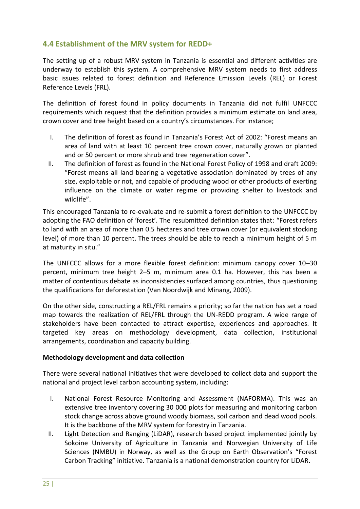## <span id="page-33-0"></span>**4.4 Establishment of the MRV system for REDD+**

The setting up of a robust MRV system in Tanzania is essential and different activities are underway to establish this system. A comprehensive MRV system needs to first address basic issues related to forest definition and Reference Emission Levels (REL) or Forest Reference Levels (FRL).

The definition of forest found in policy documents in Tanzania did not fulfil UNFCCC requirements which request that the definition provides a minimum estimate on land area, crown cover and tree height based on a country's circumstances. For instance;

- I. The definition of forest as found in Tanzania's Forest Act of 2002: "Forest means an area of land with at least 10 percent tree crown cover, naturally grown or planted and or 50 percent or more shrub and tree regeneration cover".
- II. The definition of forest as found in the National Forest Policy of 1998 and draft 2009: "Forest means all land bearing a vegetative association dominated by trees of any size, exploitable or not, and capable of producing wood or other products of exerting influence on the climate or water regime or providing shelter to livestock and wildlife".

This encouraged Tanzania to re-evaluate and re-submit a forest definition to the UNFCCC by adopting the FAO definition of 'forest'. The resubmitted definition states that: "Forest refers to land with an area of more than 0.5 hectares and tree crown cover (or equivalent stocking level) of more than 10 percent. The trees should be able to reach a minimum height of 5 m at maturity in situ."

The UNFCCC allows for a more flexible forest definition: minimum canopy cover 10–30 percent, minimum tree height 2–5 m, minimum area 0.1 ha. However, this has been a matter of contentious debate as inconsistencies surfaced among countries, thus questioning the qualifications for deforestation (Van Noordwijk and Minang, 2009).

On the other side, constructing a REL/FRL remains a priority; so far the nation has set a road map towards the realization of REL/FRL through the UN-REDD program. A wide range of stakeholders have been contacted to attract expertise, experiences and approaches. It targeted key areas on methodology development, data collection, institutional arrangements, coordination and capacity building.

#### **Methodology development and data collection**

There were several national initiatives that were developed to collect data and support the national and project level carbon accounting system, including:

- I. National Forest Resource Monitoring and Assessment (NAFORMA). This was an extensive tree inventory covering 30 000 plots for measuring and monitoring carbon stock change across above ground woody biomass, soil carbon and dead wood pools. It is the backbone of the MRV system for forestry in Tanzania.
- II. Light Detection and Ranging (LiDAR), research based project implemented jointly by Sokoine University of Agriculture in Tanzania and Norwegian University of Life Sciences (NMBU) in Norway, as well as the Group on Earth Observation's "Forest Carbon Tracking" initiative. Tanzania is a national demonstration country for LiDAR.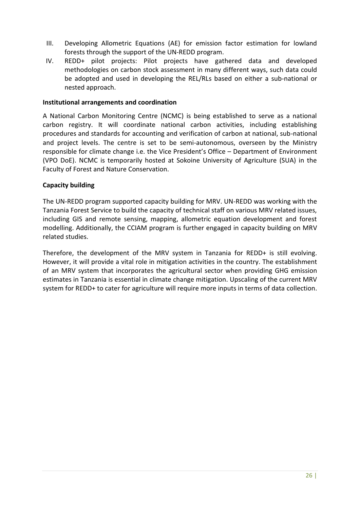- III. Developing Allometric Equations (AE) for emission factor estimation for lowland forests through the support of the UN-REDD program.
- IV. REDD+ pilot projects: Pilot projects have gathered data and developed methodologies on carbon stock assessment in many different ways, such data could be adopted and used in developing the REL/RLs based on either a sub-national or nested approach.

#### **Institutional arrangements and coordination**

A National Carbon Monitoring Centre (NCMC) is being established to serve as a national carbon registry. It will coordinate national carbon activities, including establishing procedures and standards for accounting and verification of carbon at national, sub-national and project levels. The centre is set to be semi-autonomous, overseen by the Ministry responsible for climate change i.e. the Vice President's Office – Department of Environment (VPO DoE). NCMC is temporarily hosted at Sokoine University of Agriculture (SUA) in the Faculty of Forest and Nature Conservation.

#### **Capacity building**

The UN-REDD program supported capacity building for MRV. UN-REDD was working with the Tanzania Forest Service to build the capacity of technical staff on various MRV related issues, including GIS and remote sensing, mapping, allometric equation development and forest modelling. Additionally, the CCIAM program is further engaged in capacity building on MRV related studies.

Therefore, the development of the MRV system in Tanzania for REDD+ is still evolving. However, it will provide a vital role in mitigation activities in the country. The establishment of an MRV system that incorporates the agricultural sector when providing GHG emission estimates in Tanzania is essential in climate change mitigation. Upscaling of the current MRV system for REDD+ to cater for agriculture will require more inputs in terms of data collection.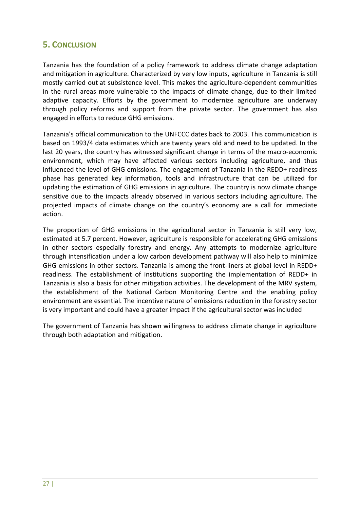# <span id="page-35-0"></span>**5. CONCLUSION**

Tanzania has the foundation of a policy framework to address climate change adaptation and mitigation in agriculture. Characterized by very low inputs, agriculture in Tanzania is still mostly carried out at subsistence level. This makes the agriculture-dependent communities in the rural areas more vulnerable to the impacts of climate change, due to their limited adaptive capacity. Efforts by the government to modernize agriculture are underway through policy reforms and support from the private sector. The government has also engaged in efforts to reduce GHG emissions.

Tanzania's official communication to the UNFCCC dates back to 2003. This communication is based on 1993/4 data estimates which are twenty years old and need to be updated. In the last 20 years, the country has witnessed significant change in terms of the macro-economic environment, which may have affected various sectors including agriculture, and thus influenced the level of GHG emissions. The engagement of Tanzania in the REDD+ readiness phase has generated key information, tools and infrastructure that can be utilized for updating the estimation of GHG emissions in agriculture. The country is now climate change sensitive due to the impacts already observed in various sectors including agriculture. The projected impacts of climate change on the country's economy are a call for immediate action.

The proportion of GHG emissions in the agricultural sector in Tanzania is still very low, estimated at 5.7 percent. However, agriculture is responsible for accelerating GHG emissions in other sectors especially forestry and energy. Any attempts to modernize agriculture through intensification under a low carbon development pathway will also help to minimize GHG emissions in other sectors. Tanzania is among the front-liners at global level in REDD+ readiness. The establishment of institutions supporting the implementation of REDD+ in Tanzania is also a basis for other mitigation activities. The development of the MRV system, the establishment of the National Carbon Monitoring Centre and the enabling policy environment are essential. The incentive nature of emissions reduction in the forestry sector is very important and could have a greater impact if the agricultural sector was included

The government of Tanzania has shown willingness to address climate change in agriculture through both adaptation and mitigation.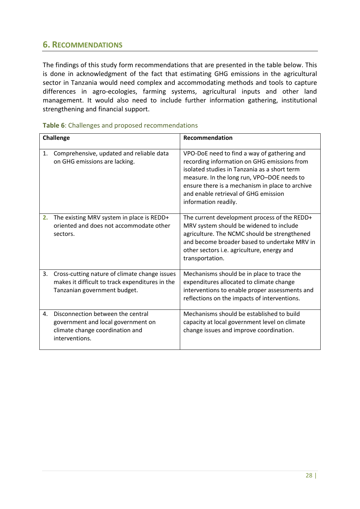# <span id="page-36-0"></span>**6. RECOMMENDATIONS**

The findings of this study form recommendations that are presented in the table below. This is done in acknowledgment of the fact that estimating GHG emissions in the agricultural sector in Tanzania would need complex and accommodating methods and tools to capture differences in agro-ecologies, farming systems, agricultural inputs and other land management. It would also need to include further information gathering, institutional strengthening and financial support.

| <b>Challenge</b> |                                                                                                                                  | Recommendation                                                                                                                                                                                                                                                                                              |  |
|------------------|----------------------------------------------------------------------------------------------------------------------------------|-------------------------------------------------------------------------------------------------------------------------------------------------------------------------------------------------------------------------------------------------------------------------------------------------------------|--|
| 1.               | Comprehensive, updated and reliable data<br>on GHG emissions are lacking.                                                        | VPO-DoE need to find a way of gathering and<br>recording information on GHG emissions from<br>isolated studies in Tanzania as a short term<br>measure. In the long run, VPO-DOE needs to<br>ensure there is a mechanism in place to archive<br>and enable retrieval of GHG emission<br>information readily. |  |
| 2.               | The existing MRV system in place is REDD+<br>oriented and does not accommodate other<br>sectors.                                 | The current development process of the REDD+<br>MRV system should be widened to include<br>agriculture. The NCMC should be strengthened<br>and become broader based to undertake MRV in<br>other sectors i.e. agriculture, energy and<br>transportation.                                                    |  |
| 3.               | Cross-cutting nature of climate change issues<br>makes it difficult to track expenditures in the<br>Tanzanian government budget. | Mechanisms should be in place to trace the<br>expenditures allocated to climate change<br>interventions to enable proper assessments and<br>reflections on the impacts of interventions.                                                                                                                    |  |
| 4.               | Disconnection between the central<br>government and local government on<br>climate change coordination and<br>interventions.     | Mechanisms should be established to build<br>capacity at local government level on climate<br>change issues and improve coordination.                                                                                                                                                                       |  |

#### <span id="page-36-1"></span>**Table 6**: Challenges and proposed recommendations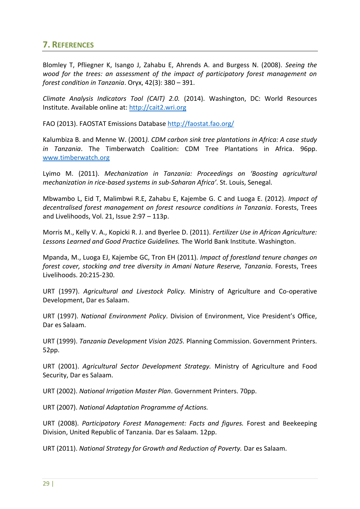# <span id="page-37-0"></span>**7. REFERENCES**

Blomley T, Pfliegner K, Isango J, Zahabu E, Ahrends A. and Burgess N. (2008). *Seeing the wood for the trees: an assessment of the impact of participatory forest management on forest condition in Tanzania*. Oryx, 42(3): 380 – 391.

*Climate Analysis Indicators Tool (CAIT) 2.0.* (2014). Washington, DC: World Resources Institute. Available online at: [http://cait2.wri.org](http://cait2.wri.org/)

FAO (2013). FAOSTAT Emissions Database<http://faostat.fao.org/>

Kalumbiza B. and Menne W. (2001*). CDM carbon sink tree plantations in Africa: A case study in Tanzania*. The Timberwatch Coalition: CDM Tree Plantations in Africa. 96pp. [www.timberwatch.org](http://www.timberwatch.org/)

Lyimo M. (2011). *Mechanization in Tanzania: Proceedings on 'Boosting agricultural mechanization in rice-based systems in sub-Saharan Africa'*. St. Louis, Senegal.

Mbwambo L, Eid T, Malimbwi R.E, Zahabu E, Kajembe G. C and Luoga E. (2012). *Impact of decentralised forest management on forest resource conditions in Tanzania*. Forests, Trees and Livelihoods, Vol. 21, Issue 2:97 – 113p.

Morris M., Kelly V. A., Kopicki R. J. and Byerlee D. (2011). *Fertilizer Use in African Agriculture: Lessons Learned and Good Practice Guidelines.* The World Bank Institute. Washington.

Mpanda, M., Luoga EJ, Kajembe GC, Tron EH (2011). *Impact of forestland tenure changes on forest cover, stocking and tree diversity in Amani Nature Reserve, Tanzania*. Forests, Trees Livelihoods. 20:215-230.

URT (1997). *Agricultural and Livestock Policy.* Ministry of Agriculture and Co-operative Development, Dar es Salaam.

URT (1997). *National Environment Policy*. Division of Environment, Vice President's Office, Dar es Salaam.

URT (1999). *Tanzania Development Vision 2025.* Planning Commission. Government Printers. 52pp.

URT (2001). *Agricultural Sector Development Strategy.* Ministry of Agriculture and Food Security, Dar es Salaam.

URT (2002). *National Irrigation Master Plan*. Government Printers. 70pp.

URT (2007). *National Adaptation Programme of Actions.*

URT (2008). *Participatory Forest Management: Facts and figures.* Forest and Beekeeping Division, United Republic of Tanzania. Dar es Salaam. 12pp.

URT (2011). *National Strategy for Growth and Reduction of Poverty.* Dar es Salaam.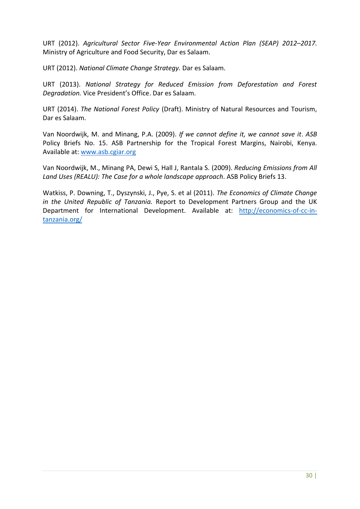URT (2012). *Agricultural Sector Five-Year Environmental Action Plan (SEAP) 2012–2017.* Ministry of Agriculture and Food Security, Dar es Salaam.

URT (2012). *National Climate Change Strategy.* Dar es Salaam.

URT (2013). *National Strategy for Reduced Emission from Deforestation and Forest Degradation.* Vice President's Office. Dar es Salaam.

URT (2014). *The National Forest Policy* (Draft). Ministry of Natural Resources and Tourism, Dar es Salaam.

Van Noordwijk, M. and Minang, P.A. (2009). *If we cannot define it, we cannot save it*. *ASB* Policy Briefs No. 15. ASB Partnership for the Tropical Forest Margins, Nairobi, Kenya. Available at[: www.asb.cgiar.org](http://www.asb.cgiar.org/)

Van Noordwijk, M., Minang PA, Dewi S, Hall J, Rantala S. (2009). *Reducing Emissions from All Land Uses (REALU): The Case for a whole landscape approach*. ASB Policy Briefs 13.

Watkiss, P. Downing, T., Dyszynski, J., Pye, S. et al (2011). *The Economics of Climate Change in the United Republic of Tanzania.* Report to Development Partners Group and the UK Department for International Development. Available at: [http://economics-of-cc-in](http://economics-of-cc-in-tanzania.org/)[tanzania.org/](http://economics-of-cc-in-tanzania.org/)